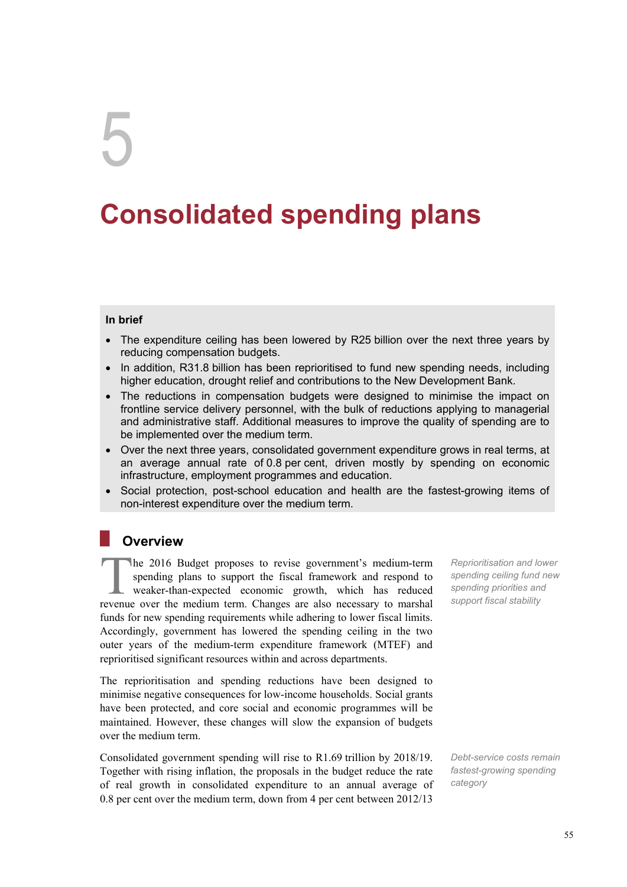# 5

# **Consolidated spending plans**

#### **In brief**

- The expenditure ceiling has been lowered by R25 billion over the next three years by reducing compensation budgets.
- In addition, R31.8 billion has been reprioritised to fund new spending needs, including higher education, drought relief and contributions to the New Development Bank.
- The reductions in compensation budgets were designed to minimise the impact on frontline service delivery personnel, with the bulk of reductions applying to managerial and administrative staff. Additional measures to improve the quality of spending are to be implemented over the medium term.
- Over the next three years, consolidated government expenditure grows in real terms, at an average annual rate of 0.8 per cent, driven mostly by spending on economic infrastructure, employment programmes and education.
- Social protection, post-school education and health are the fastest-growing items of non-interest expenditure over the medium term.

# **Overview**

**he 2016 Budget proposes to revise government's medium-term** Reprioritisation and lower spending plans to support the fiscal framework and respond to *spending ceiling fund new* weaker-than-expected economic growth, which spending plans to support the fiscal framework and respond to weaker-than-expected economic growth, which has reduced revenue over the medium term. Changes are also necessary to marshal funds for new spending requirements while adhering to lower fiscal limits. Accordingly, government has lowered the spending ceiling in the two outer years of the medium-term expenditure framework (MTEF) and reprioritised significant resources within and across departments.

The reprioritisation and spending reductions have been designed to minimise negative consequences for low-income households. Social grants have been protected, and core social and economic programmes will be maintained. However, these changes will slow the expansion of budgets over the medium term.

Consolidated government spending will rise to R1.69 trillion by 2018/19. Together with rising inflation, the proposals in the budget reduce the rate of real growth in consolidated expenditure to an annual average of 0.8 per cent over the medium term, down from 4 per cent between 2012/13

*spending ceiling fund new spending priorities and support fiscal stability* 

*Debt-service costs remain fastest-growing spending category*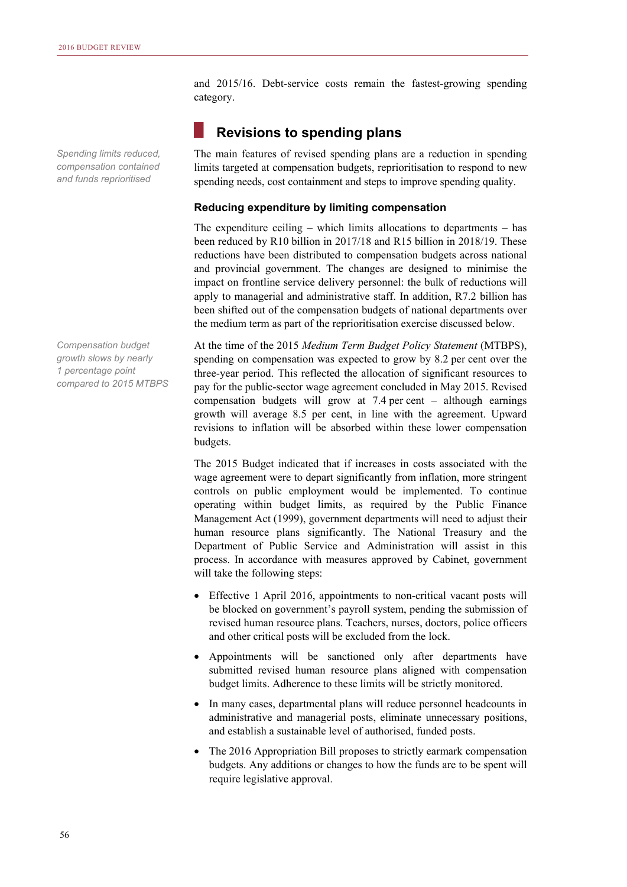*Spending limits reduced, compensation contained and funds reprioritised* 

*Compensation budget growth slows by nearly 1 percentage point compared to 2015 MTBPS*  and 2015/16. Debt-service costs remain the fastest-growing spending category.

# **Revisions to spending plans**

The main features of revised spending plans are a reduction in spending limits targeted at compensation budgets, reprioritisation to respond to new spending needs, cost containment and steps to improve spending quality.

#### **Reducing expenditure by limiting compensation**

The expenditure ceiling – which limits allocations to departments – has been reduced by R10 billion in 2017/18 and R15 billion in 2018/19. These reductions have been distributed to compensation budgets across national and provincial government. The changes are designed to minimise the impact on frontline service delivery personnel: the bulk of reductions will apply to managerial and administrative staff. In addition, R7.2 billion has been shifted out of the compensation budgets of national departments over the medium term as part of the reprioritisation exercise discussed below.

At the time of the 2015 *Medium Term Budget Policy Statement* (MTBPS), spending on compensation was expected to grow by 8.2 per cent over the three-year period. This reflected the allocation of significant resources to pay for the public-sector wage agreement concluded in May 2015. Revised compensation budgets will grow at 7.4 per cent – although earnings growth will average 8.5 per cent, in line with the agreement. Upward revisions to inflation will be absorbed within these lower compensation budgets.

The 2015 Budget indicated that if increases in costs associated with the wage agreement were to depart significantly from inflation, more stringent controls on public employment would be implemented. To continue operating within budget limits, as required by the Public Finance Management Act (1999), government departments will need to adjust their human resource plans significantly. The National Treasury and the Department of Public Service and Administration will assist in this process. In accordance with measures approved by Cabinet, government will take the following steps:

- Effective 1 April 2016, appointments to non-critical vacant posts will be blocked on government's payroll system, pending the submission of revised human resource plans. Teachers, nurses, doctors, police officers and other critical posts will be excluded from the lock.
- Appointments will be sanctioned only after departments have submitted revised human resource plans aligned with compensation budget limits. Adherence to these limits will be strictly monitored.
- In many cases, departmental plans will reduce personnel headcounts in administrative and managerial posts, eliminate unnecessary positions, and establish a sustainable level of authorised, funded posts.
- The 2016 Appropriation Bill proposes to strictly earmark compensation budgets. Any additions or changes to how the funds are to be spent will require legislative approval.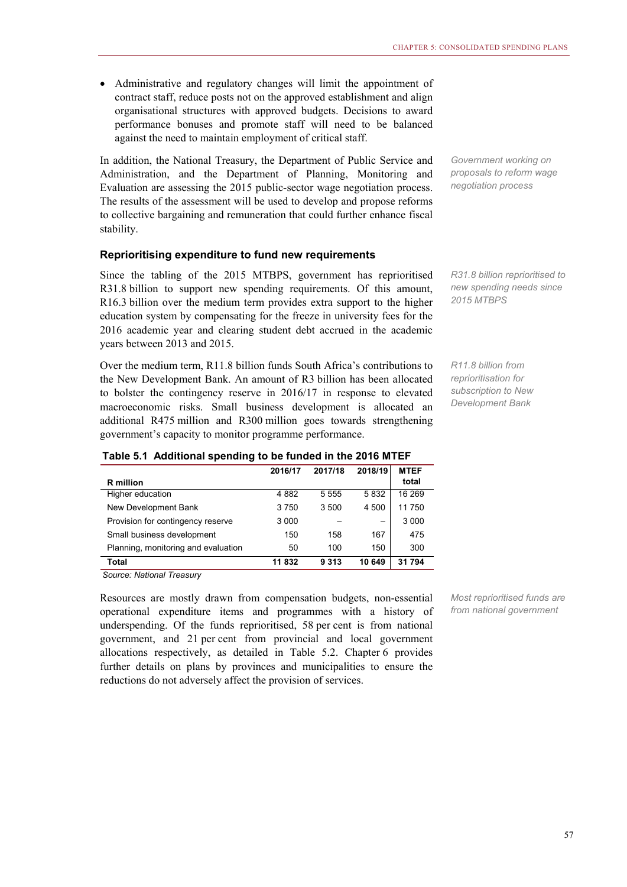Administrative and regulatory changes will limit the appointment of contract staff, reduce posts not on the approved establishment and align organisational structures with approved budgets. Decisions to award performance bonuses and promote staff will need to be balanced against the need to maintain employment of critical staff.

In addition, the National Treasury, the Department of Public Service and Administration, and the Department of Planning, Monitoring and Evaluation are assessing the 2015 public-sector wage negotiation process. The results of the assessment will be used to develop and propose reforms to collective bargaining and remuneration that could further enhance fiscal stability.

#### **Reprioritising expenditure to fund new requirements**

Since the tabling of the 2015 MTBPS, government has reprioritised R31.8 billion to support new spending requirements. Of this amount, R16.3 billion over the medium term provides extra support to the higher education system by compensating for the freeze in university fees for the 2016 academic year and clearing student debt accrued in the academic years between 2013 and 2015.

Over the medium term, R11.8 billion funds South Africa's contributions to the New Development Bank. An amount of R3 billion has been allocated to bolster the contingency reserve in 2016/17 in response to elevated macroeconomic risks. Small business development is allocated an additional R475 million and R300 million goes towards strengthening government's capacity to monitor programme performance.

*Government working on proposals to reform wage negotiation process* 

*R31.8 billion reprioritised to new spending needs since 2015 MTBPS* 

*R11.8 billion from reprioritisation for subscription to New Development Bank* 

|                                     | 2016/17 | 2017/18 | 2018/19 | <b>MTEF</b> |
|-------------------------------------|---------|---------|---------|-------------|
| <b>R</b> million                    |         |         |         | total       |
| Higher education                    | 4 8 8 2 | 5 5 5 5 | 5832    | 16 269      |
| New Development Bank                | 3750    | 3 500   | 4 500   | 11750       |
| Provision for contingency reserve   | 3 0 0 0 |         | -       | 3 0 0 0     |
| Small business development          | 150     | 158     | 167     | 475         |
| Planning, monitoring and evaluation | 50      | 100     | 150     | 300         |
| Total                               | 11832   | 9 3 1 3 | 10 649  | 31 794      |

#### **Table 5.1 Additional spending to be funded in the 2016 MTEF**

*Source: National Treasury*

Resources are mostly drawn from compensation budgets, non-essential operational expenditure items and programmes with a history of underspending. Of the funds reprioritised, 58 per cent is from national government, and 21 per cent from provincial and local government allocations respectively, as detailed in Table 5.2. Chapter 6 provides further details on plans by provinces and municipalities to ensure the reductions do not adversely affect the provision of services.

*Most reprioritised funds are from national government*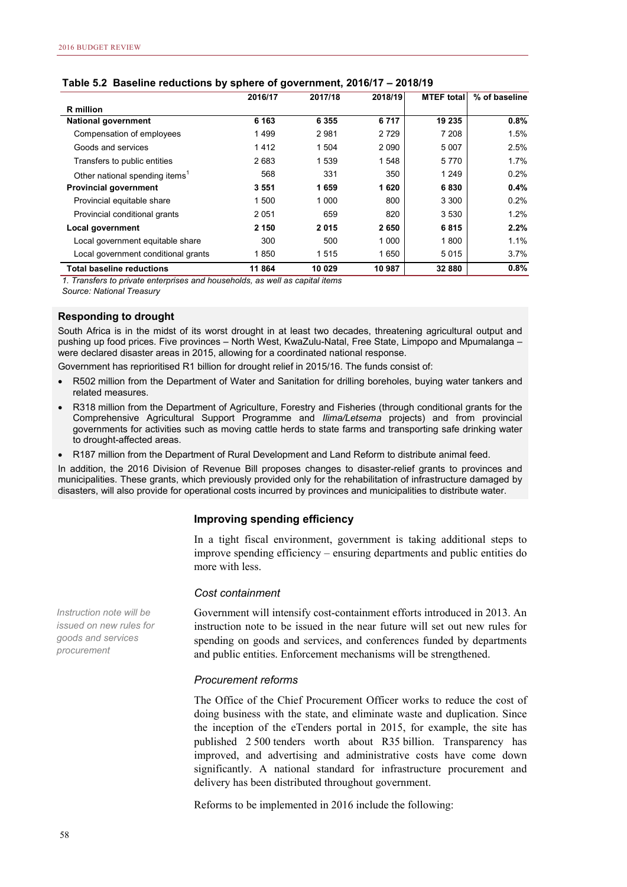|                                            | ັ<br>2016/17 | 2017/18 | 2018/19 | <b>MTEF</b> total | % of baseline |
|--------------------------------------------|--------------|---------|---------|-------------------|---------------|
| <b>R</b> million                           |              |         |         |                   |               |
| <b>National government</b>                 | 6 1 6 3      | 6 3 5 5 | 6717    | 19 235            | 0.8%          |
| Compensation of employees                  | 1499         | 2981    | 2729    | 7 208             | 1.5%          |
| Goods and services                         | 1412         | 1 504   | 2 0 9 0 | 5 0 0 7           | 2.5%          |
| Transfers to public entities               | 2683         | 1 5 3 9 | 1548    | 5770              | 1.7%          |
| Other national spending items <sup>1</sup> | 568          | 331     | 350     | 1 2 4 9           | 0.2%          |
| <b>Provincial government</b>               | 3551         | 1659    | 1620    | 6830              | 0.4%          |
| Provincial equitable share                 | 1 500        | 1 0 0 0 | 800     | 3 3 0 0           | 0.2%          |
| Provincial conditional grants              | 2051         | 659     | 820     | 3530              | 1.2%          |
| Local government                           | 2 150        | 2015    | 2650    | 6815              | 2.2%          |
| Local government equitable share           | 300          | 500     | 1 0 0 0 | 1800              | 1.1%          |
| Local government conditional grants        | 1850         | 1515    | 1650    | 5015              | $3.7\%$       |
| <b>Total baseline reductions</b>           | 11 864       | 10 029  | 10 987  | 32 880            | 0.8%          |

#### **Table 5.2 Baseline reductions by sphere of government, 2016/17 – 2018/19**

*1. Transfers to private enterprises and households, as well as capital items*

*Source: National Treasury*

#### **Responding to drought**

South Africa is in the midst of its worst drought in at least two decades, threatening agricultural output and pushing up food prices. Five provinces – North West, KwaZulu-Natal, Free State, Limpopo and Mpumalanga – were declared disaster areas in 2015, allowing for a coordinated national response.

Government has reprioritised R1 billion for drought relief in 2015/16. The funds consist of:

- R502 million from the Department of Water and Sanitation for drilling boreholes, buying water tankers and related measures.
- R318 million from the Department of Agriculture, Forestry and Fisheries (through conditional grants for the Comprehensive Agricultural Support Programme and *Ilima/Letsema* projects) and from provincial governments for activities such as moving cattle herds to state farms and transporting safe drinking water to drought-affected areas.
- R187 million from the Department of Rural Development and Land Reform to distribute animal feed.

In addition, the 2016 Division of Revenue Bill proposes changes to disaster-relief grants to provinces and municipalities. These grants, which previously provided only for the rehabilitation of infrastructure damaged by disasters, will also provide for operational costs incurred by provinces and municipalities to distribute water.

#### **Improving spending efficiency**

In a tight fiscal environment, government is taking additional steps to improve spending efficiency – ensuring departments and public entities do more with less.

#### *Cost containment*

Government will intensify cost-containment efforts introduced in 2013. An instruction note to be issued in the near future will set out new rules for spending on goods and services, and conferences funded by departments and public entities. Enforcement mechanisms will be strengthened.

#### *Procurement reforms*

The Office of the Chief Procurement Officer works to reduce the cost of doing business with the state, and eliminate waste and duplication. Since the inception of the eTenders portal in 2015, for example, the site has published 2 500 tenders worth about R35 billion. Transparency has improved, and advertising and administrative costs have come down significantly. A national standard for infrastructure procurement and delivery has been distributed throughout government.

Reforms to be implemented in 2016 include the following:

*Instruction note will be issued on new rules for goods and services procurement*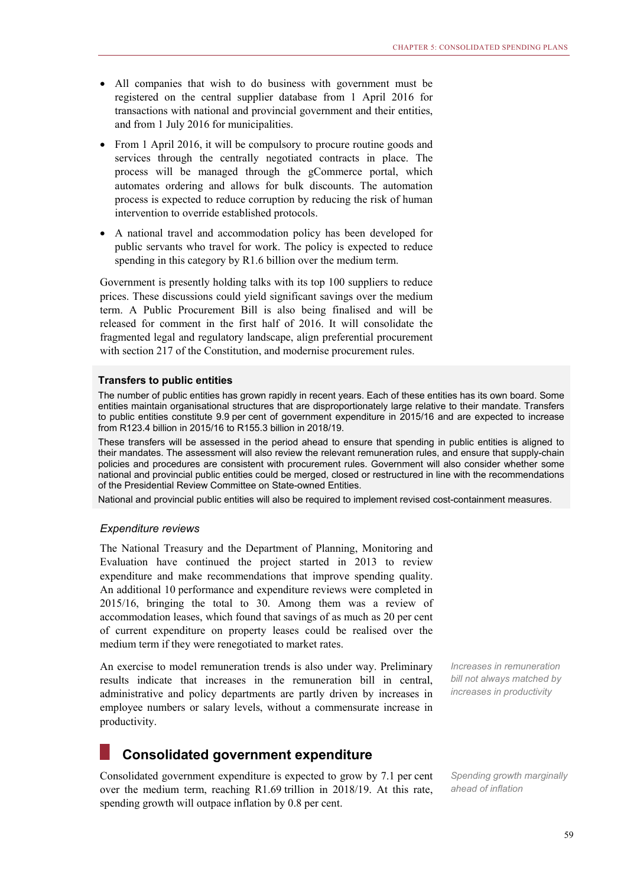- All companies that wish to do business with government must be registered on the central supplier database from 1 April 2016 for transactions with national and provincial government and their entities, and from 1 July 2016 for municipalities.
- From 1 April 2016, it will be compulsory to procure routine goods and services through the centrally negotiated contracts in place. The process will be managed through the gCommerce portal, which automates ordering and allows for bulk discounts. The automation process is expected to reduce corruption by reducing the risk of human intervention to override established protocols.
- A national travel and accommodation policy has been developed for public servants who travel for work. The policy is expected to reduce spending in this category by R1.6 billion over the medium term.

Government is presently holding talks with its top 100 suppliers to reduce prices. These discussions could yield significant savings over the medium term. A Public Procurement Bill is also being finalised and will be released for comment in the first half of 2016. It will consolidate the fragmented legal and regulatory landscape, align preferential procurement with section 217 of the Constitution, and modernise procurement rules.

#### **Transfers to public entities**

The number of public entities has grown rapidly in recent years. Each of these entities has its own board. Some entities maintain organisational structures that are disproportionately large relative to their mandate. Transfers to public entities constitute 9.9 per cent of government expenditure in 2015/16 and are expected to increase from R123.4 billion in 2015/16 to R155.3 billion in 2018/19.

These transfers will be assessed in the period ahead to ensure that spending in public entities is aligned to their mandates. The assessment will also review the relevant remuneration rules, and ensure that supply-chain policies and procedures are consistent with procurement rules. Government will also consider whether some national and provincial public entities could be merged, closed or restructured in line with the recommendations of the Presidential Review Committee on State-owned Entities.

National and provincial public entities will also be required to implement revised cost-containment measures.

#### *Expenditure reviews*

The National Treasury and the Department of Planning, Monitoring and Evaluation have continued the project started in 2013 to review expenditure and make recommendations that improve spending quality. An additional 10 performance and expenditure reviews were completed in 2015/16, bringing the total to 30. Among them was a review of accommodation leases, which found that savings of as much as 20 per cent of current expenditure on property leases could be realised over the medium term if they were renegotiated to market rates.

An exercise to model remuneration trends is also under way. Preliminary results indicate that increases in the remuneration bill in central, administrative and policy departments are partly driven by increases in employee numbers or salary levels, without a commensurate increase in productivity.

*Increases in remuneration bill not always matched by increases in productivity* 

## **Consolidated government expenditure**

Consolidated government expenditure is expected to grow by 7.1 per cent over the medium term, reaching R1.69 trillion in 2018/19. At this rate, spending growth will outpace inflation by 0.8 per cent.

*Spending growth marginally ahead of inflation*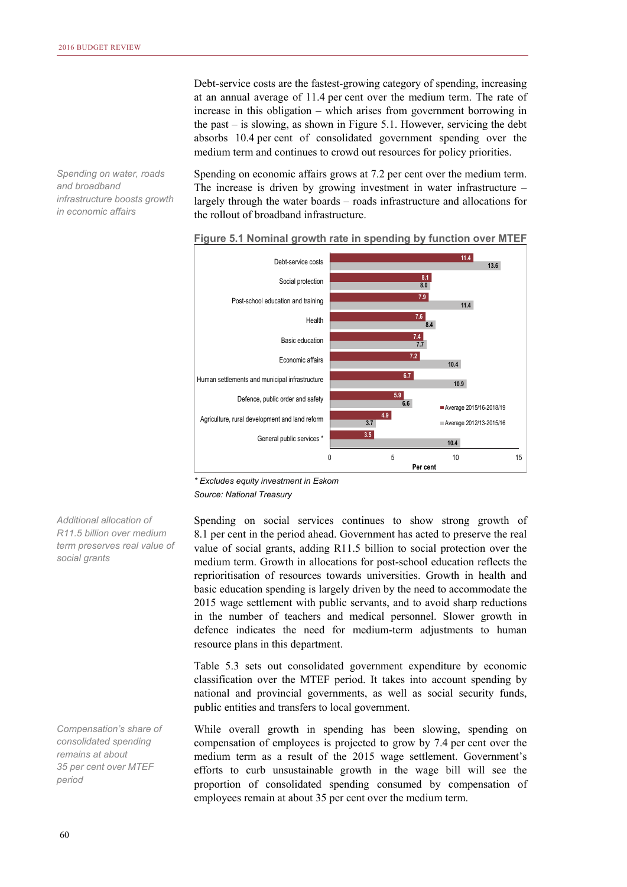*Spending on water, roads and broadband infrastructure boosts growth in economic affairs* 

Debt-service costs are the fastest-growing category of spending, increasing at an annual average of 11.4 per cent over the medium term. The rate of increase in this obligation – which arises from government borrowing in the past – is slowing, as shown in Figure 5.1. However, servicing the debt absorbs 10.4 per cent of consolidated government spending over the medium term and continues to crowd out resources for policy priorities.

Spending on economic affairs grows at 7.2 per cent over the medium term. The increase is driven by growing investment in water infrastructure – largely through the water boards – roads infrastructure and allocations for the rollout of broadband infrastructure.



#### **Figure 5.1 Nominal growth rate in spending by function over MTEF**

*\* Excludes equity investment in Eskom Source: National Treasury* 

Spending on social services continues to show strong growth of 8.1 per cent in the period ahead. Government has acted to preserve the real value of social grants, adding R11.5 billion to social protection over the medium term. Growth in allocations for post-school education reflects the reprioritisation of resources towards universities. Growth in health and basic education spending is largely driven by the need to accommodate the 2015 wage settlement with public servants, and to avoid sharp reductions in the number of teachers and medical personnel. Slower growth in defence indicates the need for medium-term adjustments to human resource plans in this department.

Table 5.3 sets out consolidated government expenditure by economic classification over the MTEF period. It takes into account spending by national and provincial governments, as well as social security funds, public entities and transfers to local government.

While overall growth in spending has been slowing, spending on compensation of employees is projected to grow by 7.4 per cent over the medium term as a result of the 2015 wage settlement. Government's efforts to curb unsustainable growth in the wage bill will see the proportion of consolidated spending consumed by compensation of employees remain at about 35 per cent over the medium term.

*Additional allocation of R11.5 billion over medium term preserves real value of social grants* 

*Compensation's share of consolidated spending remains at about 35 per cent over MTEF period*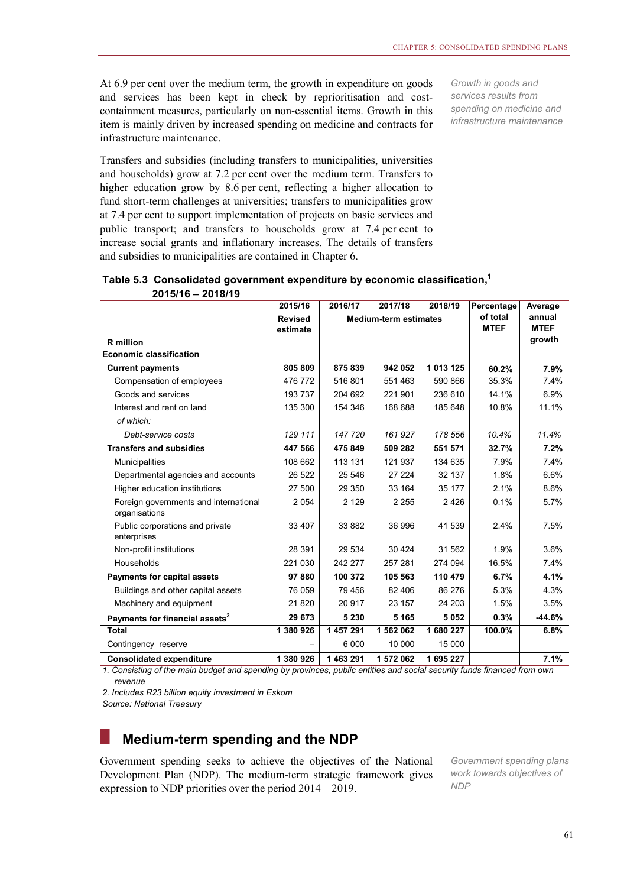At 6.9 per cent over the medium term, the growth in expenditure on goods and services has been kept in check by reprioritisation and costcontainment measures, particularly on non-essential items. Growth in this item is mainly driven by increased spending on medicine and contracts for infrastructure maintenance.

*Growth in goods and services results from spending on medicine and infrastructure maintenance* 

Transfers and subsidies (including transfers to municipalities, universities and households) grow at 7.2 per cent over the medium term. Transfers to higher education grow by 8.6 per cent, reflecting a higher allocation to fund short-term challenges at universities; transfers to municipalities grow at 7.4 per cent to support implementation of projects on basic services and public transport; and transfers to households grow at 7.4 per cent to increase social grants and inflationary increases. The details of transfers and subsidies to municipalities are contained in Chapter 6.

|                                                        | 2015/16                    | 2016/17                      | 2017/18   | 2018/19                 | Percentage            | Average  |
|--------------------------------------------------------|----------------------------|------------------------------|-----------|-------------------------|-----------------------|----------|
|                                                        | <b>Revised</b><br>estimate | <b>Medium-term estimates</b> |           | of total<br><b>MTEF</b> | annual<br><b>MTEF</b> |          |
| <b>R</b> million                                       |                            |                              |           |                         |                       | growth   |
| <b>Economic classification</b>                         |                            |                              |           |                         |                       |          |
| <b>Current payments</b>                                | 805 809                    | 875 839                      | 942 052   | 1 013 125               | 60.2%                 | 7.9%     |
| Compensation of employees                              | 476 772                    | 516 801                      | 551 463   | 590 866                 | 35.3%                 | 7.4%     |
| Goods and services                                     | 193 737                    | 204 692                      | 221 901   | 236 610                 | 14.1%                 | 6.9%     |
| Interest and rent on land                              | 135 300                    | 154 346                      | 168 688   | 185 648                 | 10.8%                 | 11.1%    |
| of which:                                              |                            |                              |           |                         |                       |          |
| Debt-service costs                                     | 129 111                    | 147 720                      | 161 927   | 178 556                 | 10.4%                 | 11.4%    |
| <b>Transfers and subsidies</b>                         | 447 566                    | 475 849                      | 509 282   | 551 571                 | 32.7%                 | 7.2%     |
| <b>Municipalities</b>                                  | 108 662                    | 113 131                      | 121 937   | 134 635                 | 7.9%                  | 7.4%     |
| Departmental agencies and accounts                     | 26 522                     | 25 546                       | 27 224    | 32 137                  | 1.8%                  | 6.6%     |
| Higher education institutions                          | 27 500                     | 29 350                       | 33 164    | 35 177                  | 2.1%                  | 8.6%     |
| Foreign governments and international<br>organisations | 2 0 5 4                    | 2 1 2 9                      | 2 2 5 5   | 2426                    | 0.1%                  | 5.7%     |
| Public corporations and private<br>enterprises         | 33 407                     | 33 882                       | 36 996    | 41 539                  | 2.4%                  | 7.5%     |
| Non-profit institutions                                | 28 391                     | 29 534                       | 30 4 24   | 31 562                  | 1.9%                  | 3.6%     |
| Households                                             | 221 030                    | 242 277                      | 257 281   | 274 094                 | 16.5%                 | 7.4%     |
| <b>Payments for capital assets</b>                     | 97880                      | 100 372                      | 105 563   | 110 479                 | 6.7%                  | 4.1%     |
| Buildings and other capital assets                     | 76 059                     | 79 456                       | 82 406    | 86 276                  | 5.3%                  | 4.3%     |
| Machinery and equipment                                | 21820                      | 20 917                       | 23 157    | 24 203                  | 1.5%                  | 3.5%     |
| Payments for financial assets <sup>2</sup>             | 29 673                     | 5 2 3 0                      | 5 1 6 5   | 5 0 5 2                 | 0.3%                  | $-44.6%$ |
| <b>Total</b>                                           | 1 380 926                  | 1 457 291                    | 1 562 062 | 1680227                 | 100.0%                | 6.8%     |
| Contingency reserve                                    |                            | 6 0 0 0                      | 10 000    | 15 000                  |                       |          |
| <b>Consolidated expenditure</b>                        | 1 380 926                  | 1 463 291                    | 1 572 062 | 1695227                 |                       | 7.1%     |

#### **Table 5.3 Consolidated government expenditure by economic classification,<sup>1</sup> 2015/16 – 2018/19**

*1. Consisting of the main budget and spending by provinces, public entities and social security funds financed from own revenue*

*2. Includes R23 billion equity investment in Eskom*

*Source: National Treasury*

## **Medium-term spending and the NDP**

Government spending seeks to achieve the objectives of the National Development Plan (NDP). The medium-term strategic framework gives expression to NDP priorities over the period 2014 – 2019.

*Government spending plans work towards objectives of NDP*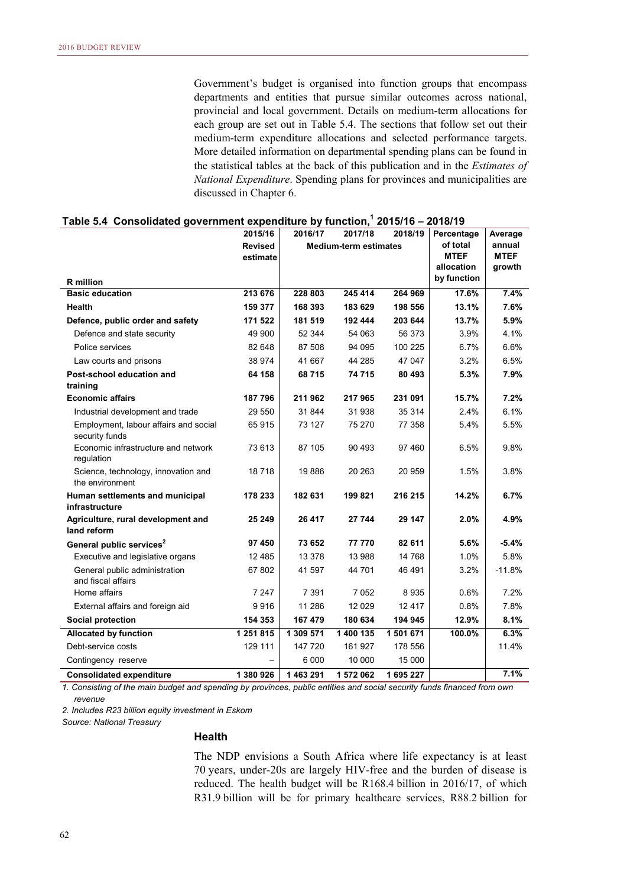Government's budget is organised into function groups that encompass departments and entities that pursue similar outcomes across national, provincial and local government. Details on medium-term allocations for each group are set out in Table 5.4. The sections that follow set out their medium-term expenditure allocations and selected performance targets. More detailed information on departmental spending plans can be found in the statistical tables at the back of this publication and in the *Estimates of National Expenditure*. Spending plans for provinces and municipalities are discussed in Chapter 6.

|                                                         | 2015/16        | 2016/17   | 2017/18                      | 2018/19   | Percentage                | Average               |
|---------------------------------------------------------|----------------|-----------|------------------------------|-----------|---------------------------|-----------------------|
|                                                         | <b>Revised</b> |           | <b>Medium-term estimates</b> |           | of total                  | annual                |
|                                                         | estimate       |           |                              |           | <b>MTEF</b><br>allocation | <b>MTEF</b><br>growth |
| <b>R</b> million                                        |                |           |                              |           | by function               |                       |
| <b>Basic education</b>                                  | 213 676        | 228 803   | 245 414                      | 264 969   | 17.6%                     | 7.4%                  |
| <b>Health</b>                                           | 159 377        | 168 393   | 183 629                      | 198 556   | 13.1%                     | 7.6%                  |
| Defence, public order and safety                        | 171 522        | 181 519   | 192 444                      | 203 644   | 13.7%                     | 5.9%                  |
| Defence and state security                              | 49 900         | 52 344    | 54 063                       | 56 373    | 3.9%                      | 4.1%                  |
| Police services                                         | 82 648         | 87 508    | 94 095                       | 100 225   | 6.7%                      | 6.6%                  |
| Law courts and prisons                                  | 38 974         | 41 667    | 44 285                       | 47 047    | 3.2%                      | 6.5%                  |
| Post-school education and                               | 64 158         | 68715     | 74 715                       | 80 493    | 5.3%                      | 7.9%                  |
| training                                                |                |           |                              |           |                           |                       |
| <b>Economic affairs</b>                                 | 187796         | 211962    | 217965                       | 231 091   | 15.7%                     | 7.2%                  |
| Industrial development and trade                        | 29 550         | 31 844    | 31 938                       | 35 314    | 2.4%                      | 6.1%                  |
| Employment, labour affairs and social<br>security funds | 65915          | 73 127    | 75 270                       | 77 358    | 5.4%                      | 5.5%                  |
| Economic infrastructure and network<br>requlation       | 73 613         | 87 105    | 90 493                       | 97 460    | 6.5%                      | 9.8%                  |
| Science, technology, innovation and<br>the environment  | 18718          | 19886     | 20 26 3                      | 20 959    | 1.5%                      | 3.8%                  |
| Human settlements and municipal<br>infrastructure       | 178 233        | 182 631   | 199 821                      | 216 215   | 14.2%                     | 6.7%                  |
| Agriculture, rural development and<br>land reform       | 25 249         | 26 417    | 27 744                       | 29 147    | $2.0\%$                   | 4.9%                  |
| General public services <sup>2</sup>                    | 97 450         | 73 652    | 77 770                       | 82 611    | 5.6%                      | $-5.4%$               |
| Executive and legislative organs                        | 12 4 8 5       | 13 378    | 13 988                       | 14 768    | 1.0%                      | 5.8%                  |
| General public administration<br>and fiscal affairs     | 67 802         | 41 597    | 44 701                       | 46 491    | 3.2%                      | $-11.8%$              |
| Home affairs                                            | 7 247          | 7 3 9 1   | 7 0 5 2                      | 8935      | 0.6%                      | 7.2%                  |
| External affairs and foreign aid                        | 9916           | 11 286    | 12 0 29                      | 12 4 17   | 0.8%                      | 7.8%                  |
| <b>Social protection</b>                                | 154 353        | 167 479   | 180 634                      | 194 945   | 12.9%                     | 8.1%                  |
| <b>Allocated by function</b>                            | 1 251 815      | 1 309 571 | 1 400 135                    | 1 501 671 | 100.0%                    | 6.3%                  |
| Debt-service costs                                      | 129 111        | 147 720   | 161 927                      | 178 556   |                           | 11.4%                 |
| Contingency reserve                                     |                | 6 0 0 0   | 10 000                       | 15 000    |                           |                       |
| <b>Consolidated expenditure</b>                         | 1 380 926      | 1463291   | 1 572 062                    | 1695227   |                           | 7.1%                  |

#### **Table 5.4 Consolidated government expenditure by function,1 2015/16 – 2018/19**

*1. Consisting of the main budget and spending by provinces, public entities and social security funds financed from own revenue*

*2. Includes R23 billion equity investment in Eskom*

*Source: National Treasury*

#### **Health**

The NDP envisions a South Africa where life expectancy is at least 70 years, under-20s are largely HIV-free and the burden of disease is reduced. The health budget will be R168.4 billion in 2016/17, of which R31.9 billion will be for primary healthcare services, R88.2 billion for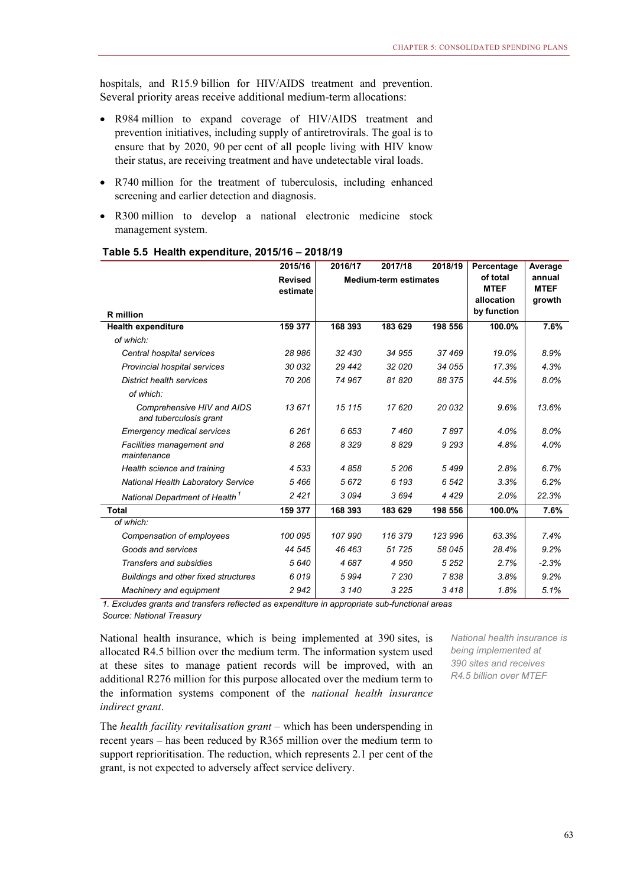hospitals, and R15.9 billion for HIV/AIDS treatment and prevention. Several priority areas receive additional medium-term allocations:

- R984 million to expand coverage of HIV/AIDS treatment and prevention initiatives, including supply of antiretrovirals. The goal is to ensure that by 2020, 90 per cent of all people living with HIV know their status, are receiving treatment and have undetectable viral loads.
- R740 million for the treatment of tuberculosis, including enhanced screening and earlier detection and diagnosis.
- R300 million to develop a national electronic medicine stock management system.

|                                                      | 2015/16        | 2016/17                      | 2017/18 | 2018/19 | Percentage              | Average               |
|------------------------------------------------------|----------------|------------------------------|---------|---------|-------------------------|-----------------------|
|                                                      | <b>Revised</b> | <b>Medium-term estimates</b> |         |         | of total<br><b>MTEF</b> | annual<br><b>MTEF</b> |
|                                                      | estimate       |                              |         |         | allocation              | growth                |
| <b>R</b> million                                     |                |                              |         |         | by function             |                       |
| <b>Health expenditure</b>                            | 159 377        | 168 393                      | 183 629 | 198 556 | 100.0%                  | 7.6%                  |
| of which:                                            |                |                              |         |         |                         |                       |
| Central hospital services                            | 28 986         | 32 430                       | 34 955  | 37469   | 19.0%                   | 8.9%                  |
| Provincial hospital services                         | 30 032         | 29 442                       | 32 0 20 | 34 055  | 17.3%                   | 4.3%                  |
| <b>District health services</b>                      | 70 206         | 74 967                       | 81 820  | 88 375  | 44.5%                   | 8.0%                  |
| of which:                                            |                |                              |         |         |                         |                       |
| Comprehensive HIV and AIDS<br>and tuberculosis grant | 13 671         | 15 115                       | 17620   | 20 032  | 9.6%                    | 13.6%                 |
| <b>Emergency medical services</b>                    | 6 2 6 1        | 6653                         | 7460    | 7897    | 4.0%                    | 8.0%                  |
| Facilities management and<br>maintenance             | 8 2 6 8        | 8 3 2 9                      | 8829    | 9 2 9 3 | 4.8%                    | 4.0%                  |
| Health science and training                          | 4 5 3 3        | 4858                         | 5 206   | 5499    | 2.8%                    | 6.7%                  |
| <b>National Health Laboratory Service</b>            | 5466           | 5672                         | 6 1 9 3 | 6 5 42  | 3.3%                    | 6.2%                  |
| National Department of Health <sup>1</sup>           | 2421           | 3094                         | 3694    | 4429    | 2.0%                    | 22.3%                 |
| Total                                                | 159 377        | 168 393                      | 183 629 | 198 556 | 100.0%                  | 7.6%                  |
| of which:                                            |                |                              |         |         |                         |                       |
| Compensation of employees                            | 100 095        | 107 990                      | 116 379 | 123 996 | 63.3%                   | 7.4%                  |
| Goods and services                                   | 44 545         | 46 463                       | 51 7 25 | 58 045  | 28.4%                   | 9.2%                  |
| <b>Transfers and subsidies</b>                       | 5 6 4 0        | 4687                         | 4 9 5 0 | 5 2 5 2 | 2.7%                    | $-2.3%$               |
| <b>Buildings and other fixed structures</b>          | 6019           | 5994                         | 7 2 3 0 | 7838    | 3.8%                    | 9.2%                  |
| Machinery and equipment                              | 2942           | 3 1 4 0                      | 3 2 2 5 | 3418    | 1.8%                    | 5.1%                  |

#### **Table 5.5 Health expenditure, 2015/16 – 2018/19**

*1. Excludes grants and transfers reflected as expenditure in appropriate sub-functional areas Source: National Treasury*

National health insurance, which is being implemented at 390 sites, is allocated R4.5 billion over the medium term. The information system used at these sites to manage patient records will be improved, with an additional R276 million for this purpose allocated over the medium term to the information systems component of the *national health insurance indirect grant*.

*National health insurance is being implemented at 390 sites and receives R4.5 billion over MTEF* 

The *health facility revitalisation grant* – which has been underspending in recent years – has been reduced by R365 million over the medium term to support reprioritisation. The reduction, which represents 2.1 per cent of the grant, is not expected to adversely affect service delivery.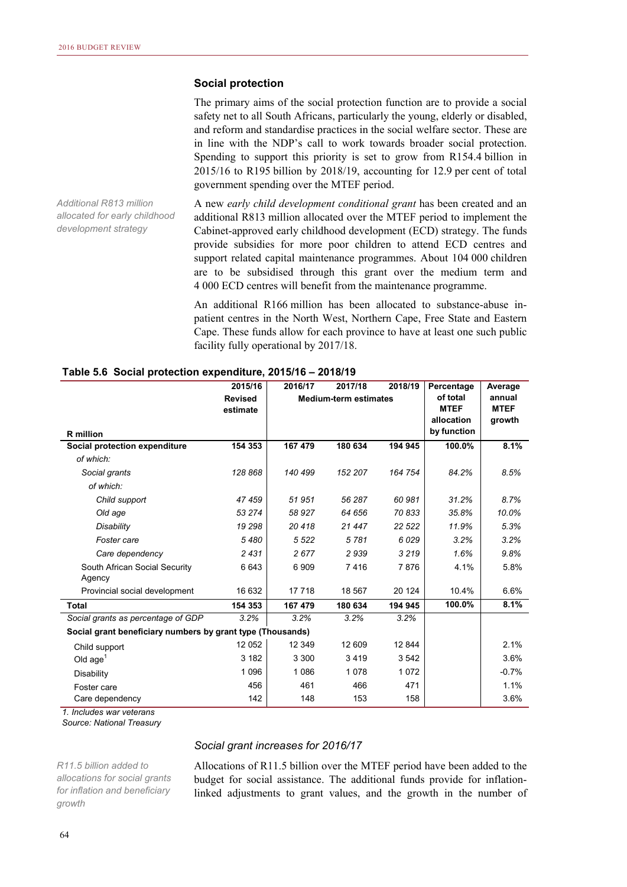#### **Social protection**

The primary aims of the social protection function are to provide a social safety net to all South Africans, particularly the young, elderly or disabled, and reform and standardise practices in the social welfare sector. These are in line with the NDP's call to work towards broader social protection. Spending to support this priority is set to grow from R154.4 billion in 2015/16 to R195 billion by 2018/19, accounting for 12.9 per cent of total government spending over the MTEF period.

*Additional R813 million allocated for early childhood development strategy* 

A new *early child development conditional grant* has been created and an additional R813 million allocated over the MTEF period to implement the Cabinet-approved early childhood development (ECD) strategy. The funds provide subsidies for more poor children to attend ECD centres and support related capital maintenance programmes. About 104 000 children are to be subsidised through this grant over the medium term and 4 000 ECD centres will benefit from the maintenance programme.

An additional R166 million has been allocated to substance-abuse inpatient centres in the North West, Northern Cape, Free State and Eastern Cape. These funds allow for each province to have at least one such public facility fully operational by 2017/18.

|                                                            | 2015/16        | 2016/17 | 2017/18                      | 2018/19 | Percentage  | Average     |
|------------------------------------------------------------|----------------|---------|------------------------------|---------|-------------|-------------|
|                                                            | <b>Revised</b> |         | <b>Medium-term estimates</b> |         | of total    | annual      |
|                                                            | estimate       |         |                              |         | <b>MTEF</b> | <b>MTEF</b> |
|                                                            |                |         |                              |         | allocation  | growth      |
| <b>R</b> million                                           |                |         |                              |         | by function |             |
| Social protection expenditure                              | 154 353        | 167 479 | 180 634                      | 194 945 | 100.0%      | 8.1%        |
| of which:                                                  |                |         |                              |         |             |             |
| Social grants                                              | 128 868        | 140 499 | 152 207                      | 164 754 | 84.2%       | 8.5%        |
| of which:                                                  |                |         |                              |         |             |             |
| Child support                                              | 47459          | 51 951  | 56 287                       | 60 981  | 31.2%       | 8.7%        |
| Old age                                                    | 53 274         | 58 927  | 64 656                       | 70833   | 35.8%       | 10.0%       |
| Disability                                                 | 19 298         | 20418   | 21 447                       | 22 5 22 | 11.9%       | 5.3%        |
| Foster care                                                | 5480           | 5 5 2 2 | 5781                         | 6029    | 3.2%        | 3.2%        |
| Care dependency                                            | 2431           | 2677    | 2939                         | 3 2 1 9 | 1.6%        | 9.8%        |
| South African Social Security<br>Agency                    | 6643           | 6909    | 7416                         | 7876    | 4.1%        | 5.8%        |
| Provincial social development                              | 16 632         | 17718   | 18 567                       | 20 124  | 10.4%       | 6.6%        |
| <b>Total</b>                                               | 154 353        | 167 479 | 180 634                      | 194 945 | 100.0%      | 8.1%        |
| Social grants as percentage of GDP                         | 3.2%           | 3.2%    | 3.2%                         | 3.2%    |             |             |
| Social grant beneficiary numbers by grant type (Thousands) |                |         |                              |         |             |             |
| Child support                                              | 12 052         | 12 349  | 12 609                       | 12 844  |             | 2.1%        |
| Old $age1$                                                 | 3 1 8 2        | 3 3 0 0 | 3419                         | 3542    |             | 3.6%        |
| Disability                                                 | 1 0 9 6        | 1086    | 1078                         | 1072    |             | $-0.7%$     |
| Foster care                                                | 456            | 461     | 466                          | 471     |             | 1.1%        |
| Care dependency                                            | 142            | 148     | 153                          | 158     |             | 3.6%        |

#### **Table 5.6 Social protection expenditure, 2015/16 – 2018/19**

*1. Includes war veterans*

*Source: National Treasury*

#### *Social grant increases for 2016/17*

*R11.5 billion added to allocations for social grants for inflation and beneficiary growth* 

Allocations of R11.5 billion over the MTEF period have been added to the budget for social assistance. The additional funds provide for inflationlinked adjustments to grant values, and the growth in the number of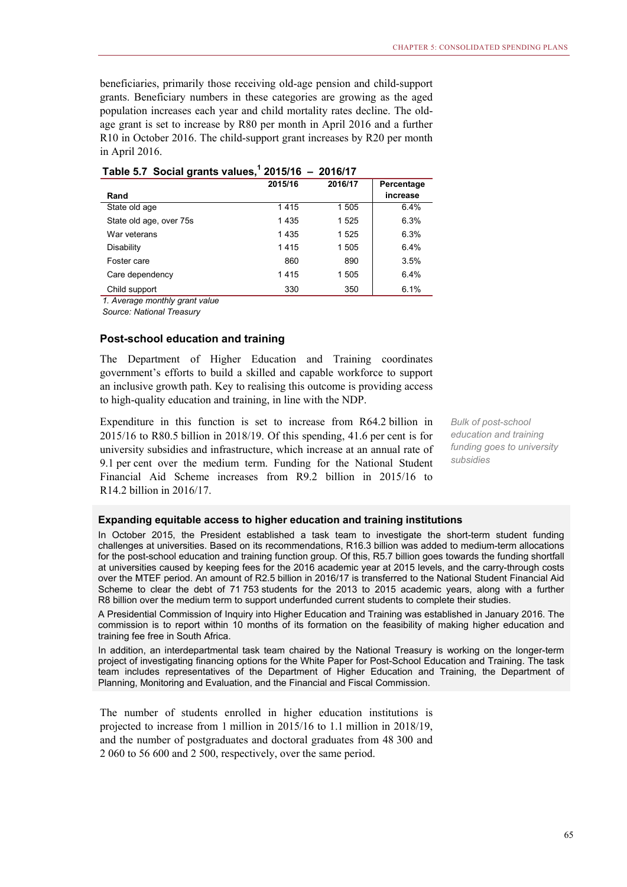beneficiaries, primarily those receiving old-age pension and child-support grants. Beneficiary numbers in these categories are growing as the aged population increases each year and child mortality rates decline. The oldage grant is set to increase by R80 per month in April 2016 and a further R10 in October 2016. The child-support grant increases by R20 per month in April 2016.

|                         | 2015/16 | 2016/17 | Percentage |
|-------------------------|---------|---------|------------|
| Rand                    |         |         | increase   |
| State old age           | 1415    | 1505    | 6.4%       |
| State old age, over 75s | 1435    | 1525    | 6.3%       |
| War veterans            | 1435    | 1525    | 6.3%       |
| Disability              | 1415    | 1505    | 6.4%       |
| Foster care             | 860     | 890     | 3.5%       |
| Care dependency         | 1415    | 1505    | 6.4%       |
| Child support           | 330     | 350     | 6.1%       |

**Table 5.7 Social grants values,1 2015/16 – 2016/17**

*1. Average monthly grant value*

*Source: National Treasury*

#### **Post-school education and training**

The Department of Higher Education and Training coordinates government's efforts to build a skilled and capable workforce to support an inclusive growth path. Key to realising this outcome is providing access to high-quality education and training, in line with the NDP.

Expenditure in this function is set to increase from R64.2 billion in 2015/16 to R80.5 billion in 2018/19. Of this spending, 41.6 per cent is for university subsidies and infrastructure, which increase at an annual rate of 9.1 per cent over the medium term. Funding for the National Student Financial Aid Scheme increases from R9.2 billion in 2015/16 to R14.2 billion in 2016/17.

*Bulk of post-school education and training funding goes to university subsidies* 

#### **Expanding equitable access to higher education and training institutions**

In October 2015, the President established a task team to investigate the short-term student funding challenges at universities. Based on its recommendations, R16.3 billion was added to medium-term allocations for the post-school education and training function group. Of this, R5.7 billion goes towards the funding shortfall at universities caused by keeping fees for the 2016 academic year at 2015 levels, and the carry-through costs over the MTEF period. An amount of R2.5 billion in 2016/17 is transferred to the National Student Financial Aid Scheme to clear the debt of 71 753 students for the 2013 to 2015 academic years, along with a further R8 billion over the medium term to support underfunded current students to complete their studies.

A Presidential Commission of Inquiry into Higher Education and Training was established in January 2016. The commission is to report within 10 months of its formation on the feasibility of making higher education and training fee free in South Africa.

In addition, an interdepartmental task team chaired by the National Treasury is working on the longer-term project of investigating financing options for the White Paper for Post-School Education and Training. The task team includes representatives of the Department of Higher Education and Training, the Department of Planning, Monitoring and Evaluation, and the Financial and Fiscal Commission.

The number of students enrolled in higher education institutions is projected to increase from 1 million in 2015/16 to 1.1 million in 2018/19, and the number of postgraduates and doctoral graduates from 48 300 and 2 060 to 56 600 and 2 500, respectively, over the same period.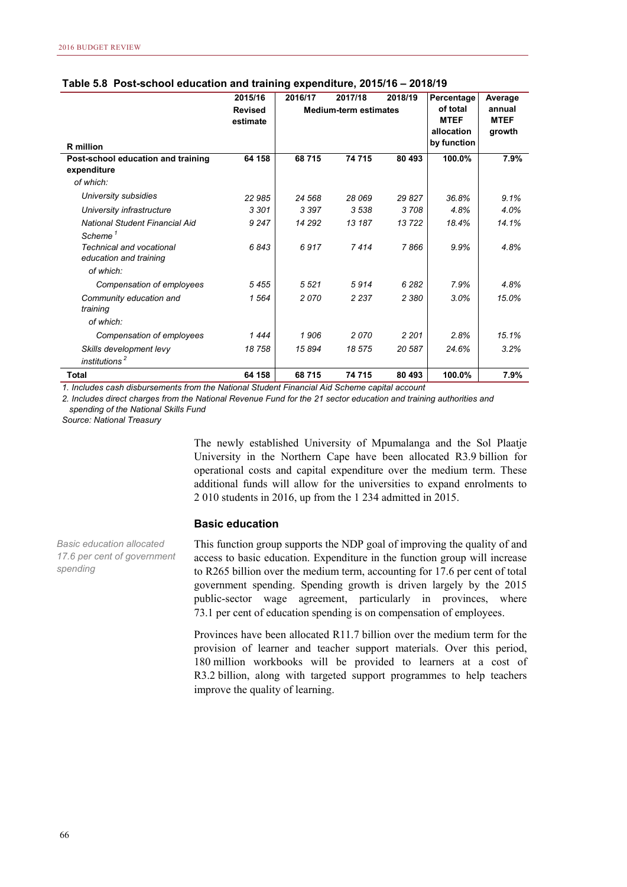|                                                           | 2015/16                    | 2016/17 | 2017/18                      | 2018/19 | Percentage                            | Average                         |
|-----------------------------------------------------------|----------------------------|---------|------------------------------|---------|---------------------------------------|---------------------------------|
|                                                           | <b>Revised</b><br>estimate |         | <b>Medium-term estimates</b> |         | of total<br><b>MTEF</b><br>allocation | annual<br><b>MTEF</b><br>growth |
| <b>R</b> million                                          |                            |         |                              |         | by function                           |                                 |
| Post-school education and training                        | 64 158                     | 68715   | 74 715                       | 80 493  | 100.0%                                | 7.9%                            |
| expenditure                                               |                            |         |                              |         |                                       |                                 |
| of which:                                                 |                            |         |                              |         |                                       |                                 |
| University subsidies                                      | 22 985                     | 24 568  | 28 069                       | 29 827  | 36.8%                                 | 9.1%                            |
| University infrastructure                                 | 3 3 0 1                    | 3 3 9 7 | 3 5 3 8                      | 3708    | 4.8%                                  | 4.0%                            |
| National Student Financial Aid                            | 9 2 4 7                    | 14 29 2 | 13 187                       | 13722   | 18.4%                                 | 14.1%                           |
| Scheme <sup>1</sup>                                       |                            |         |                              |         |                                       |                                 |
| <b>Technical and vocational</b><br>education and training | 6843                       | 6917    | 7414                         | 7866    | 9.9%                                  | 4.8%                            |
| of which:                                                 |                            |         |                              |         |                                       |                                 |
| Compensation of employees                                 | 5455                       | 5521    | 5914                         | 6 2 8 2 | 7.9%                                  | 4.8%                            |
| Community education and<br>training                       | 1 564                      | 2070    | 2 2 3 7                      | 2 3 8 0 | 3.0%                                  | 15.0%                           |
| of which:                                                 |                            |         |                              |         |                                       |                                 |
| Compensation of employees                                 | 1444                       | 1906    | 2070                         | 2 2 0 1 | 2.8%                                  | 15.1%                           |
| Skills development levy<br>institutions <sup>2</sup>      | 18 758                     | 15894   | 18 575                       | 20 587  | 24.6%                                 | 3.2%                            |
| <b>Total</b>                                              | 64 158                     | 68715   | 74 715                       | 80 493  | 100.0%                                | 7.9%                            |

#### **Table 5.8 Post-school education and training expenditure, 2015/16 – 2018/19**

*1. Includes cash disbursements from the National Student Financial Aid Scheme capital account*

*2. Includes direct charges from the National Revenue Fund for the 21 sector education and training authorities and spending of the National Skills Fund*

*Source: National Treasury*

The newly established University of Mpumalanga and the Sol Plaatje University in the Northern Cape have been allocated R3.9 billion for operational costs and capital expenditure over the medium term. These additional funds will allow for the universities to expand enrolments to 2 010 students in 2016, up from the 1 234 admitted in 2015.

#### **Basic education**

This function group supports the NDP goal of improving the quality of and access to basic education. Expenditure in the function group will increase to R265 billion over the medium term, accounting for 17.6 per cent of total government spending. Spending growth is driven largely by the 2015 public-sector wage agreement, particularly in provinces, where 73.1 per cent of education spending is on compensation of employees.

Provinces have been allocated R11.7 billion over the medium term for the provision of learner and teacher support materials. Over this period, 180 million workbooks will be provided to learners at a cost of R3.2 billion, along with targeted support programmes to help teachers improve the quality of learning.

*Basic education allocated 17.6 per cent of government spending*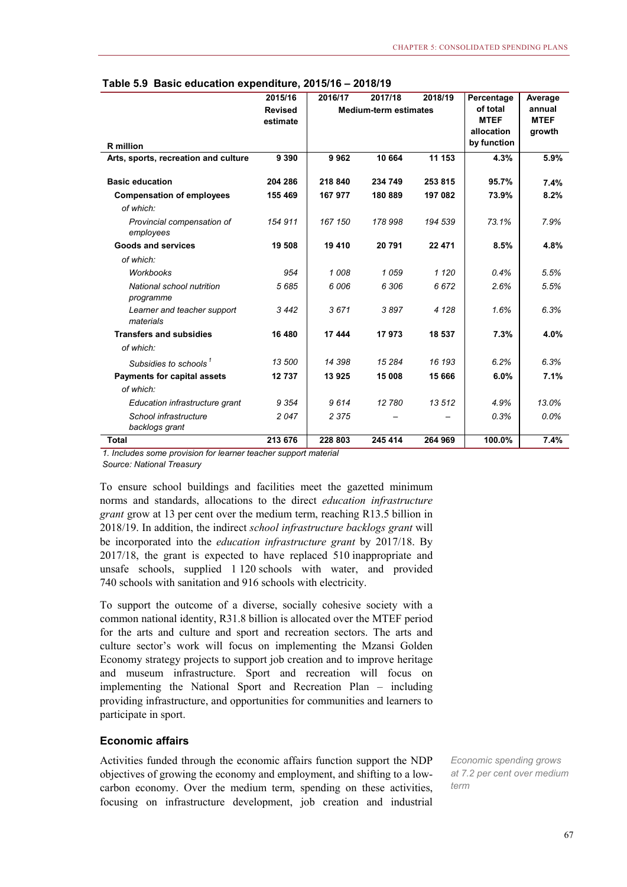|                                          | 2015/16        | 2016/17 | 2017/18                      | 2018/19 | Percentage                | Average     |
|------------------------------------------|----------------|---------|------------------------------|---------|---------------------------|-------------|
|                                          | <b>Revised</b> |         | <b>Medium-term estimates</b> |         | of total                  | annual      |
|                                          | estimate       |         |                              |         | <b>MTEF</b><br>allocation | <b>MTEF</b> |
|                                          |                |         |                              |         | by function               | growth      |
| <b>R</b> million                         |                |         |                              |         |                           |             |
| Arts, sports, recreation and culture     | 9 3 9 0        | 9962    | 10 664                       | 11 153  | 4.3%                      | 5.9%        |
| <b>Basic education</b>                   | 204 286        | 218 840 | 234 749                      | 253 815 | 95.7%                     | 7.4%        |
| <b>Compensation of employees</b>         | 155 469        | 167 977 | 180889                       | 197 082 | 73.9%                     | 8.2%        |
| of which:                                |                |         |                              |         |                           |             |
| Provincial compensation of<br>employees  | 154 911        | 167 150 | 178 998                      | 194 539 | 73.1%                     | 7.9%        |
| Goods and services                       | 19 508         | 19 410  | 20 791                       | 22 471  | 8.5%                      | 4.8%        |
| of which:                                |                |         |                              |         |                           |             |
| <b>Workbooks</b>                         | 954            | 1008    | 1059                         | 1 1 2 0 | 0.4%                      | 5.5%        |
| National school nutrition<br>programme   | 5685           | 6006    | 6 306                        | 6672    | 2.6%                      | 5.5%        |
| Learner and teacher support<br>materials | 3442           | 3671    | 3897                         | 4 1 2 8 | 1.6%                      | 6.3%        |
| <b>Transfers and subsidies</b>           | 16 480         | 17 444  | 17973                        | 18 537  | 7.3%                      | 4.0%        |
| of which:                                |                |         |                              |         |                           |             |
| Subsidies to schools <sup>1</sup>        | 13 500         | 14 398  | 15 284                       | 16 193  | 6.2%                      | 6.3%        |
| <b>Payments for capital assets</b>       | 12737          | 13925   | 15 008                       | 15 666  | 6.0%                      | 7.1%        |
| of which:                                |                |         |                              |         |                           |             |
| Education infrastructure grant           | 9 3 5 4        | 9614    | 12 780                       | 13512   | 4.9%                      | 13.0%       |
| School infrastructure<br>backlogs grant  | 2047           | 2 3 7 5 |                              |         | 0.3%                      | 0.0%        |
| <b>Total</b>                             | 213 676        | 228 803 | 245 414                      | 264 969 | 100.0%                    | 7.4%        |

#### **Table 5.9 Basic education expenditure, 2015/16 – 2018/19**

*1. Includes some provision for learner teacher support material Source: National Treasury*

To ensure school buildings and facilities meet the gazetted minimum norms and standards, allocations to the direct *education infrastructure grant* grow at 13 per cent over the medium term, reaching R13.5 billion in 2018/19. In addition, the indirect *school infrastructure backlogs grant* will be incorporated into the *education infrastructure grant* by 2017/18. By 2017/18, the grant is expected to have replaced 510 inappropriate and unsafe schools, supplied 1 120 schools with water, and provided 740 schools with sanitation and 916 schools with electricity.

To support the outcome of a diverse, socially cohesive society with a common national identity, R31.8 billion is allocated over the MTEF period for the arts and culture and sport and recreation sectors. The arts and culture sector's work will focus on implementing the Mzansi Golden Economy strategy projects to support job creation and to improve heritage and museum infrastructure. Sport and recreation will focus on implementing the National Sport and Recreation Plan – including providing infrastructure, and opportunities for communities and learners to participate in sport.

#### **Economic affairs**

Activities funded through the economic affairs function support the NDP objectives of growing the economy and employment, and shifting to a lowcarbon economy. Over the medium term, spending on these activities, focusing on infrastructure development, job creation and industrial

*Economic spending grows at 7.2 per cent over medium term*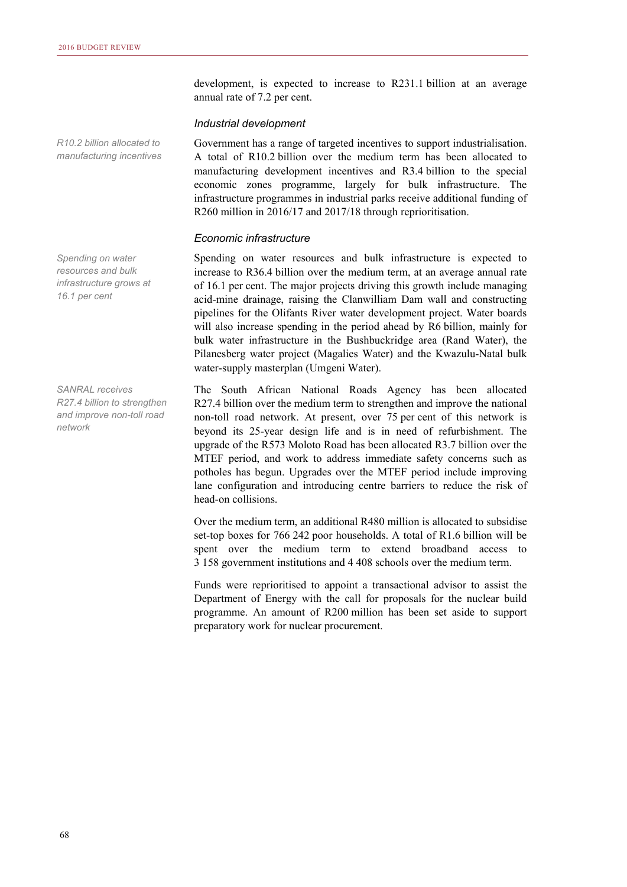development, is expected to increase to R231.1 billion at an average annual rate of 7.2 per cent.

#### *Industrial development*

Government has a range of targeted incentives to support industrialisation. A total of R10.2 billion over the medium term has been allocated to manufacturing development incentives and R3.4 billion to the special economic zones programme, largely for bulk infrastructure. The infrastructure programmes in industrial parks receive additional funding of R260 million in 2016/17 and 2017/18 through reprioritisation.

#### *Economic infrastructure*

Spending on water resources and bulk infrastructure is expected to increase to R36.4 billion over the medium term, at an average annual rate of 16.1 per cent. The major projects driving this growth include managing acid-mine drainage, raising the Clanwilliam Dam wall and constructing pipelines for the Olifants River water development project. Water boards will also increase spending in the period ahead by R6 billion, mainly for bulk water infrastructure in the Bushbuckridge area (Rand Water), the Pilanesberg water project (Magalies Water) and the Kwazulu-Natal bulk water-supply masterplan (Umgeni Water).

The South African National Roads Agency has been allocated R27.4 billion over the medium term to strengthen and improve the national non-toll road network. At present, over 75 per cent of this network is beyond its 25-year design life and is in need of refurbishment. The upgrade of the R573 Moloto Road has been allocated R3.7 billion over the MTEF period, and work to address immediate safety concerns such as potholes has begun. Upgrades over the MTEF period include improving lane configuration and introducing centre barriers to reduce the risk of head-on collisions.

Over the medium term, an additional R480 million is allocated to subsidise set-top boxes for 766 242 poor households. A total of R1.6 billion will be spent over the medium term to extend broadband access to 3 158 government institutions and 4 408 schools over the medium term.

Funds were reprioritised to appoint a transactional advisor to assist the Department of Energy with the call for proposals for the nuclear build programme. An amount of R200 million has been set aside to support preparatory work for nuclear procurement.

*R10.2 billion allocated to manufacturing incentives* 

*Spending on water resources and bulk infrastructure grows at 16.1 per cent* 

*SANRAL receives R27.4 billion to strengthen and improve non-toll road network*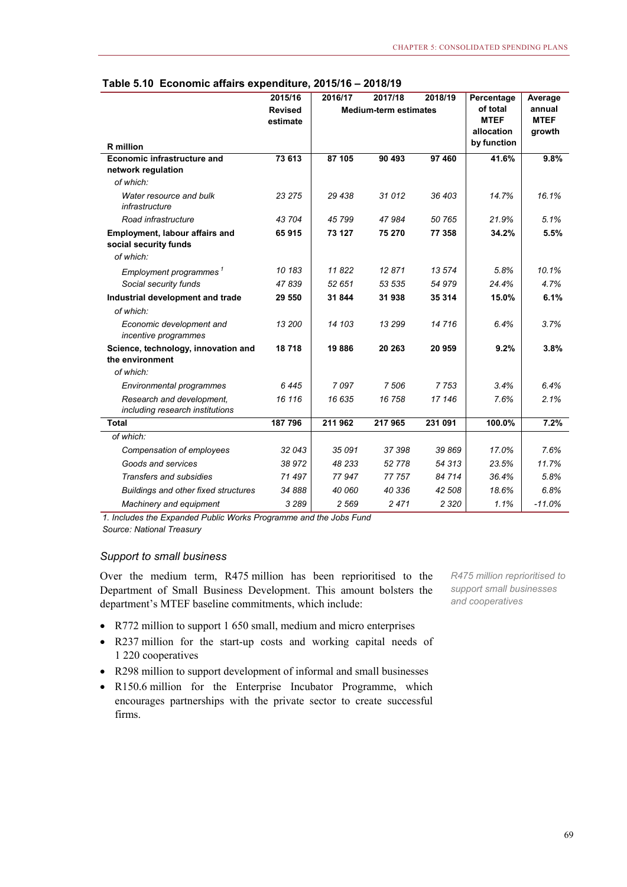|                                                                | 2015/16                    | 2016/17 | 2017/18                      | 2018/19 | Percentage                                           | Average                         |
|----------------------------------------------------------------|----------------------------|---------|------------------------------|---------|------------------------------------------------------|---------------------------------|
| <b>R</b> million                                               | <b>Revised</b><br>estimate |         | <b>Medium-term estimates</b> |         | of total<br><b>MTEF</b><br>allocation<br>by function | annual<br><b>MTEF</b><br>growth |
| <b>Economic infrastructure and</b>                             | 73 613                     | 87 105  | 90 493                       | 97 460  | 41.6%                                                | 9.8%                            |
| network regulation<br>of which:                                |                            |         |                              |         |                                                      |                                 |
| Water resource and bulk<br>infrastructure                      | 23 275                     | 29 438  | 31 012                       | 36 403  | 14.7%                                                | 16.1%                           |
| Road infrastructure                                            | 43 704                     | 45799   | 47984                        | 50 765  | 21.9%                                                | 5.1%                            |
| <b>Employment, labour affairs and</b><br>social security funds | 65915                      | 73 127  | 75 270                       | 77 358  | 34.2%                                                | 5.5%                            |
| of which:                                                      |                            |         |                              |         |                                                      |                                 |
| Employment programmes <sup>1</sup>                             | 10 183                     | 11822   | 12871                        | 13 574  | 5.8%                                                 | 10.1%                           |
| Social security funds                                          | 47839                      | 52 651  | 53 535                       | 54 979  | 24.4%                                                | 4.7%                            |
| Industrial development and trade                               | 29 550                     | 31 844  | 31 938                       | 35 314  | 15.0%                                                | 6.1%                            |
| of which:                                                      |                            |         |                              |         |                                                      |                                 |
| Economic development and<br>incentive programmes               | 13 200                     | 14 103  | 13 299                       | 14 716  | 6.4%                                                 | 3.7%                            |
| Science, technology, innovation and<br>the environment         | 18718                      | 19886   | 20 263                       | 20 959  | 9.2%                                                 | 3.8%                            |
| of which:                                                      |                            |         |                              |         |                                                      |                                 |
| Environmental programmes                                       | 6445                       | 7097    | 7 506                        | 7753    | 3.4%                                                 | 6.4%                            |
| Research and development.<br>including research institutions   | 16 116                     | 16 635  | 16 758                       | 17 146  | 7.6%                                                 | 2.1%                            |
| <b>Total</b>                                                   | 187 796                    | 211 962 | 217965                       | 231 091 | 100.0%                                               | 7.2%                            |
| of which:                                                      |                            |         |                              |         |                                                      |                                 |
| Compensation of employees                                      | 32043                      | 35 091  | 37 398                       | 39 869  | 17.0%                                                | 7.6%                            |
| Goods and services                                             | 38972                      | 48 233  | 52 778                       | 54 313  | 23.5%                                                | 11.7%                           |
| <b>Transfers and subsidies</b>                                 | 71 497                     | 77 947  | 77 757                       | 84 714  | 36.4%                                                | 5.8%                            |
| Buildings and other fixed structures                           | 34 888                     | 40 060  | 40 336                       | 42 508  | 18.6%                                                | 6.8%                            |
| Machinery and equipment                                        | 3 2 8 9                    | 2 5 6 9 | 2471                         | 2 3 2 0 | 1.1%                                                 | $-11.0%$                        |

#### **Table 5.10 Economic affairs expenditure, 2015/16 – 2018/19**

*1. Includes the Expanded Public Works Programme and the Jobs Fund*

*Source: National Treasury*

#### *Support to small business*

Over the medium term, R475 million has been reprioritised to the Department of Small Business Development. This amount bolsters the department's MTEF baseline commitments, which include:

*R475 million reprioritised to support small businesses and cooperatives* 

- R772 million to support 1 650 small, medium and micro enterprises
- R237 million for the start-up costs and working capital needs of 1 220 cooperatives
- R298 million to support development of informal and small businesses
- R150.6 million for the Enterprise Incubator Programme, which encourages partnerships with the private sector to create successful firms.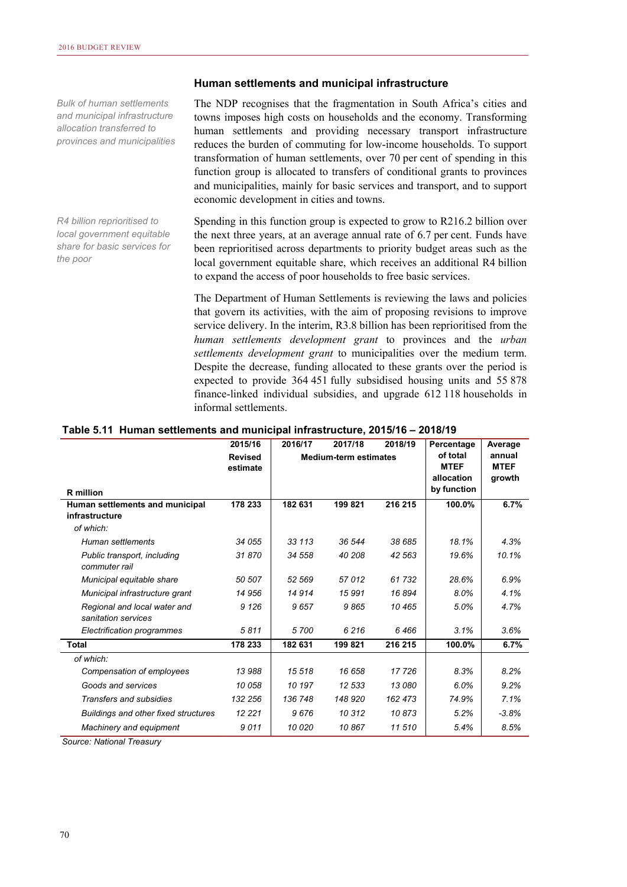*Bulk of human settlements and municipal infrastructure allocation transferred to provinces and municipalities* 

*R4 billion reprioritised to local government equitable share for basic services for the poor* 

#### **Human settlements and municipal infrastructure**

The NDP recognises that the fragmentation in South Africa's cities and towns imposes high costs on households and the economy. Transforming human settlements and providing necessary transport infrastructure reduces the burden of commuting for low-income households. To support transformation of human settlements, over 70 per cent of spending in this function group is allocated to transfers of conditional grants to provinces and municipalities, mainly for basic services and transport, and to support economic development in cities and towns.

Spending in this function group is expected to grow to R216.2 billion over the next three years, at an average annual rate of 6.7 per cent. Funds have been reprioritised across departments to priority budget areas such as the local government equitable share, which receives an additional R4 billion to expand the access of poor households to free basic services.

The Department of Human Settlements is reviewing the laws and policies that govern its activities, with the aim of proposing revisions to improve service delivery. In the interim, R3.8 billion has been reprioritised from the *human settlements development grant* to provinces and the *urban settlements development grant* to municipalities over the medium term. Despite the decrease, funding allocated to these grants over the period is expected to provide 364 451 fully subsidised housing units and 55 878 finance-linked individual subsidies, and upgrade 612 118 households in informal settlements.

| Table 5.11 Human settlements and municipal infrastructure, 2015/16 - 2018/19 |  |  |
|------------------------------------------------------------------------------|--|--|
|                                                                              |  |  |

|                                                     | 2015/16                    | 2016/17 | 2017/18                      | 2018/19 | Percentage                            | Average                         |
|-----------------------------------------------------|----------------------------|---------|------------------------------|---------|---------------------------------------|---------------------------------|
|                                                     | <b>Revised</b><br>estimate |         | <b>Medium-term estimates</b> |         | of total<br><b>MTEF</b><br>allocation | annual<br><b>MTEF</b><br>growth |
| <b>R</b> million                                    |                            |         |                              |         | by function                           |                                 |
| Human settlements and municipal<br>infrastructure   | 178 233                    | 182 631 | 199 821                      | 216 215 | 100.0%                                | 6.7%                            |
| of which:                                           |                            |         |                              |         |                                       |                                 |
| Human settlements                                   | 34 055                     | 33 113  | 36 544                       | 38 685  | 18.1%                                 | 4.3%                            |
| Public transport, including<br>commuter rail        | 31870                      | 34 558  | 40 208                       | 42 563  | 19.6%                                 | 10.1%                           |
| Municipal equitable share                           | 50 507                     | 52 569  | 57012                        | 61732   | 28.6%                                 | 6.9%                            |
| Municipal infrastructure grant                      | 14 956                     | 14 914  | 15991                        | 16894   | 8.0%                                  | 4.1%                            |
| Regional and local water and<br>sanitation services | 9 1 2 6                    | 9657    | 9865                         | 10465   | 5.0%                                  | 4.7%                            |
| Electrification programmes                          | 5811                       | 5700    | 6216                         | 6466    | 3.1%                                  | 3.6%                            |
| <b>Total</b>                                        | 178 233                    | 182 631 | 199 821                      | 216 215 | 100.0%                                | 6.7%                            |
| of which:                                           |                            |         |                              |         |                                       |                                 |
| Compensation of employees                           | 13988                      | 15 518  | 16 658                       | 17726   | 8.3%                                  | 8.2%                            |
| Goods and services                                  | 10 058                     | 10 197  | 12 533                       | 13 080  | 6.0%                                  | 9.2%                            |
| <b>Transfers and subsidies</b>                      | 132 256                    | 136 748 | 148 920                      | 162 473 | 74.9%                                 | 7.1%                            |
| <b>Buildings and other fixed structures</b>         | 12 2 2 1                   | 9676    | 10312                        | 10873   | 5.2%                                  | $-3.8%$                         |
| Machinery and equipment                             | 9011                       | 10 0 20 | 10867                        | 11 510  | 5.4%                                  | 8.5%                            |

*Source: National Treasury*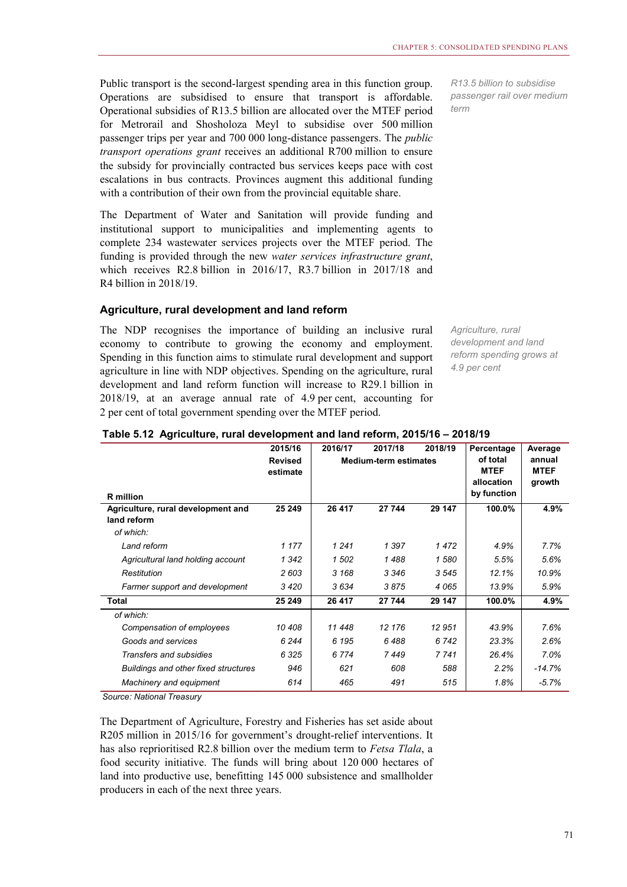Public transport is the second-largest spending area in this function group. Operations are subsidised to ensure that transport is affordable. Operational subsidies of R13.5 billion are allocated over the MTEF period for Metrorail and Shosholoza Meyl to subsidise over 500 million passenger trips per year and 700 000 long-distance passengers. The *public transport operations grant* receives an additional R700 million to ensure the subsidy for provincially contracted bus services keeps pace with cost escalations in bus contracts. Provinces augment this additional funding with a contribution of their own from the provincial equitable share.

The Department of Water and Sanitation will provide funding and institutional support to municipalities and implementing agents to complete 234 wastewater services projects over the MTEF period. The funding is provided through the new *water services infrastructure grant*, which receives R2.8 billion in 2016/17, R3.7 billion in 2017/18 and R4 billion in 2018/19.

#### **Agriculture, rural development and land reform**

The NDP recognises the importance of building an inclusive rural economy to contribute to growing the economy and employment. Spending in this function aims to stimulate rural development and support agriculture in line with NDP objectives. Spending on the agriculture, rural development and land reform function will increase to R29.1 billion in 2018/19, at an average annual rate of 4.9 per cent, accounting for 2 per cent of total government spending over the MTEF period.

*R13.5 billion to subsidise passenger rail over medium term* 

*Agriculture, rural development and land reform spending grows at 4.9 per cent* 

|  |                                                                              | OOSEISC OOSCIST | $0.047140$ | 2040/40 Deventory |
|--|------------------------------------------------------------------------------|-----------------|------------|-------------------|
|  |                                                                              |                 |            |                   |
|  | Table 5.12 Agriculture, rural development and land reform, 2015/16 - 2018/19 |                 |            |                   |

| <b>R</b> million                                  | 2015/16<br>2016/17<br>2017/18<br><b>Medium-term estimates</b><br><b>Revised</b><br>estimate |         | 2018/19 | Percentage<br>of total<br><b>MTEF</b><br>allocation<br>by function | Average<br>annual<br><b>MTEF</b><br>growth |          |
|---------------------------------------------------|---------------------------------------------------------------------------------------------|---------|---------|--------------------------------------------------------------------|--------------------------------------------|----------|
| Agriculture, rural development and<br>land reform | 25 249                                                                                      | 26 417  | 27 744  | 29 147                                                             | 100.0%                                     | 4.9%     |
| of which:                                         |                                                                                             |         |         |                                                                    |                                            |          |
| Land reform                                       | 1 1 7 7                                                                                     | 1 2 4 1 | 1 3 9 7 | 1472                                                               | 4.9%                                       | 7.7%     |
| Agricultural land holding account                 | 1 3 4 2                                                                                     | 1 502   | 1488    | 1 580                                                              | 5.5%                                       | 5.6%     |
| Restitution                                       | 2603                                                                                        | 3 1 6 8 | 3 3 4 6 | 3545                                                               | 12.1%                                      | 10.9%    |
| Farmer support and development                    | 3420                                                                                        | 3634    | 3875    | 4065                                                               | 13.9%                                      | 5.9%     |
| <b>Total</b>                                      | 25 249                                                                                      | 26 417  | 27 744  | 29 147                                                             | 100.0%                                     | 4.9%     |
| of which:                                         |                                                                                             |         |         |                                                                    |                                            |          |
| Compensation of employees                         | 10 408                                                                                      | 11 448  | 12 176  | 12 951                                                             | 43.9%                                      | 7.6%     |
| Goods and services                                | 6 2 4 4                                                                                     | 6 1 9 5 | 6488    | 6 742                                                              | 23.3%                                      | 2.6%     |
| Transfers and subsidies                           | 6325                                                                                        | 6 7 7 4 | 7449    | 7 7 4 1                                                            | 26.4%                                      | 7.0%     |
| Buildings and other fixed structures              | 946                                                                                         | 621     | 608     | 588                                                                | 2.2%                                       | $-14.7%$ |
| Machinery and equipment                           | 614                                                                                         | 465     | 491     | 515                                                                | 1.8%                                       | $-5.7%$  |

*Source: National Treasury*

The Department of Agriculture, Forestry and Fisheries has set aside about R205 million in 2015/16 for government's drought-relief interventions. It has also reprioritised R2.8 billion over the medium term to *Fetsa Tlala*, a food security initiative. The funds will bring about 120 000 hectares of land into productive use, benefitting 145 000 subsistence and smallholder producers in each of the next three years.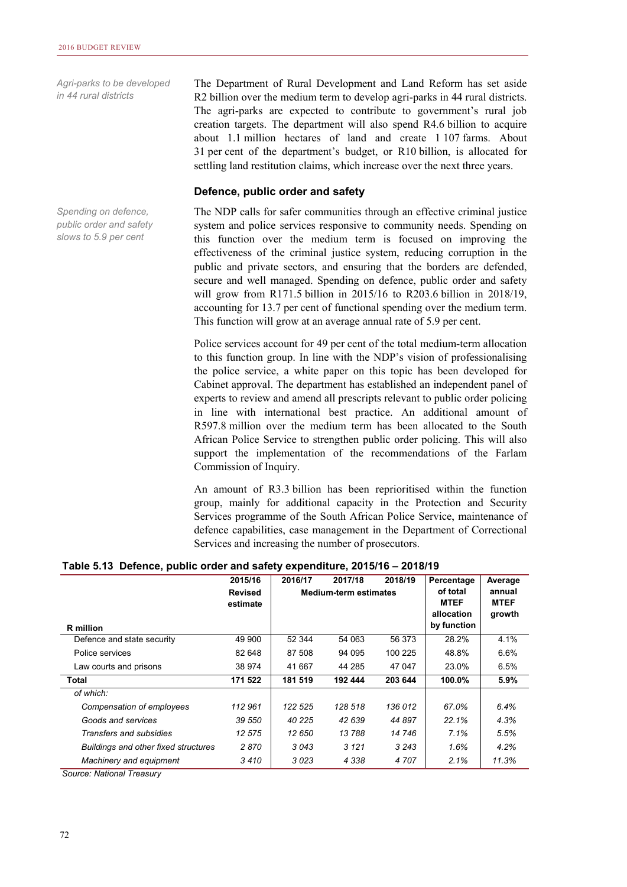*Agri-parks to be developed in 44 rural districts* 

The Department of Rural Development and Land Reform has set aside R2 billion over the medium term to develop agri-parks in 44 rural districts. The agri-parks are expected to contribute to government's rural job creation targets. The department will also spend R4.6 billion to acquire about 1.1 million hectares of land and create 1 107 farms. About 31 per cent of the department's budget, or R10 billion, is allocated for settling land restitution claims, which increase over the next three years.

#### **Defence, public order and safety**

The NDP calls for safer communities through an effective criminal justice system and police services responsive to community needs. Spending on this function over the medium term is focused on improving the effectiveness of the criminal justice system, reducing corruption in the public and private sectors, and ensuring that the borders are defended, secure and well managed. Spending on defence, public order and safety will grow from R171.5 billion in 2015/16 to R203.6 billion in 2018/19, accounting for 13.7 per cent of functional spending over the medium term. This function will grow at an average annual rate of 5.9 per cent.

Police services account for 49 per cent of the total medium-term allocation to this function group. In line with the NDP's vision of professionalising the police service, a white paper on this topic has been developed for Cabinet approval. The department has established an independent panel of experts to review and amend all prescripts relevant to public order policing in line with international best practice. An additional amount of R597.8 million over the medium term has been allocated to the South African Police Service to strengthen public order policing. This will also support the implementation of the recommendations of the Farlam Commission of Inquiry.

An amount of R3.3 billion has been reprioritised within the function group, mainly for additional capacity in the Protection and Security Services programme of the South African Police Service, maintenance of defence capabilities, case management in the Department of Correctional Services and increasing the number of prosecutors.

|  |  |  |                               | Table 5.13 Defence, public order and safety expenditure, 2015/16 - 2018/19 |                   |
|--|--|--|-------------------------------|----------------------------------------------------------------------------|-------------------|
|  |  |  | $2015/16$ $2016/17$ $2017/19$ |                                                                            | $2019/10$ Dercent |

|                                      | 2015/16                    | 2016/17 | 2017/18                      | 2018/19                                              | Percentage                      | Average |
|--------------------------------------|----------------------------|---------|------------------------------|------------------------------------------------------|---------------------------------|---------|
| <b>R</b> million                     | <b>Revised</b><br>estimate |         | <b>Medium-term estimates</b> | of total<br><b>MTEF</b><br>allocation<br>by function | annual<br><b>MTEF</b><br>growth |         |
| Defence and state security           | 49 900                     | 52 344  | 54 063                       | 56 373                                               | 28.2%                           | 4.1%    |
| Police services                      | 82 648                     | 87 508  | 94 095                       | 100 225                                              | 48.8%                           | 6.6%    |
| Law courts and prisons               | 38 974                     | 41 667  | 44 285                       | 47 047                                               | 23.0%                           | 6.5%    |
| Total                                | 171 522                    | 181 519 | 192 444                      | 203 644                                              | 100.0%                          | 5.9%    |
| of which:                            |                            |         |                              |                                                      |                                 |         |
| Compensation of employees            | 112 961                    | 122 525 | 128 518                      | 136 012                                              | 67.0%                           | 6.4%    |
| Goods and services                   | 39 550                     | 40 225  | 42 639                       | 44 897                                               | 22.1%                           | 4.3%    |
| Transfers and subsidies              | 12 575                     | 12 650  | 13788                        | 14 746                                               | 7.1%                            | 5.5%    |
| Buildings and other fixed structures | 2870                       | 3043    | 3 1 2 1                      | 3 2 4 3                                              | 1.6%                            | 4.2%    |
| Machinery and equipment              | 3410                       | 3023    | 4 3 3 8                      | 4 707                                                | 2.1%                            | 11.3%   |

*Source: National Treasury*

*Spending on defence, public order and safety slows to 5.9 per cent*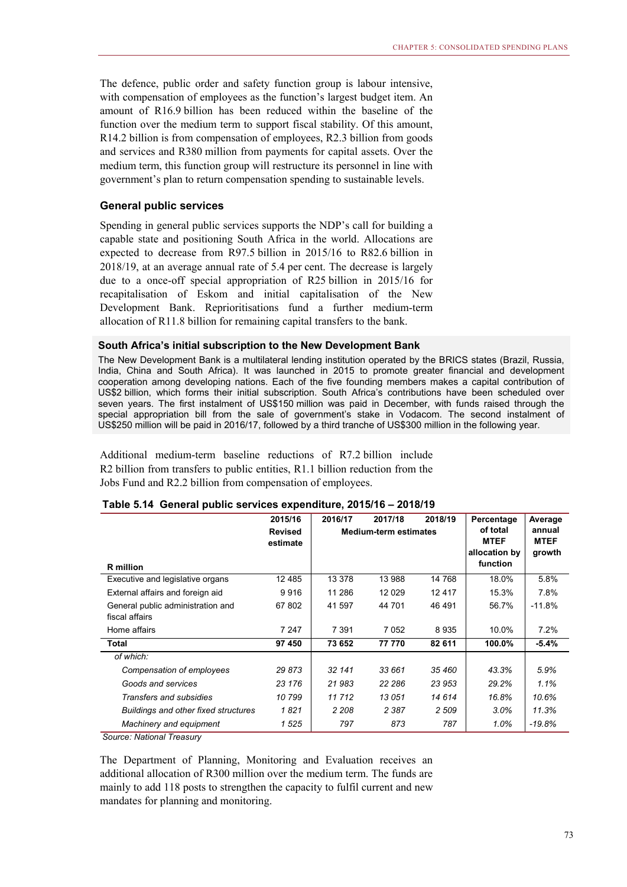The defence, public order and safety function group is labour intensive, with compensation of employees as the function's largest budget item. An amount of R16.9 billion has been reduced within the baseline of the function over the medium term to support fiscal stability. Of this amount, R14.2 billion is from compensation of employees, R2.3 billion from goods and services and R380 million from payments for capital assets. Over the medium term, this function group will restructure its personnel in line with government's plan to return compensation spending to sustainable levels.

#### **General public services**

Spending in general public services supports the NDP's call for building a capable state and positioning South Africa in the world. Allocations are expected to decrease from R97.5 billion in 2015/16 to R82.6 billion in 2018/19, at an average annual rate of 5.4 per cent. The decrease is largely due to a once-off special appropriation of R25 billion in 2015/16 for recapitalisation of Eskom and initial capitalisation of the New Development Bank. Reprioritisations fund a further medium-term allocation of R11.8 billion for remaining capital transfers to the bank.

#### **South Africa's initial subscription to the New Development Bank**

The New Development Bank is a multilateral lending institution operated by the BRICS states (Brazil, Russia, India, China and South Africa). It was launched in 2015 to promote greater financial and development cooperation among developing nations. Each of the five founding members makes a capital contribution of US\$2 billion, which forms their initial subscription. South Africa's contributions have been scheduled over seven years. The first instalment of US\$150 million was paid in December, with funds raised through the special appropriation bill from the sale of government's stake in Vodacom. The second instalment of US\$250 million will be paid in 2016/17, followed by a third tranche of US\$300 million in the following year.

Additional medium-term baseline reductions of R7.2 billion include R2 billion from transfers to public entities, R1.1 billion reduction from the Jobs Fund and R2.2 billion from compensation of employees.

|                                                     | 2015/16                    | 2016/17<br>2017/18 |                              | 2018/19                                              | Percentage                      | Average  |
|-----------------------------------------------------|----------------------------|--------------------|------------------------------|------------------------------------------------------|---------------------------------|----------|
| <b>R</b> million                                    | <b>Revised</b><br>estimate |                    | <b>Medium-term estimates</b> | of total<br><b>MTEF</b><br>allocation by<br>function | annual<br><b>MTEF</b><br>growth |          |
| Executive and legislative organs                    | 12 4 8 5                   | 13 378             | 13 988                       | 14 768                                               | 18.0%                           | 5.8%     |
| External affairs and foreign aid                    | 9916                       | 11 286             | 12 0 29                      | 12417                                                | 15.3%                           | 7.8%     |
| General public administration and<br>fiscal affairs | 67 802                     | 41 597             | 44 701                       | 46 491                                               | 56.7%                           | $-11.8%$ |
| Home affairs                                        | 7 2 4 7                    | 7 3 9 1            | 7 0 5 2                      | 8935                                                 | 10.0%                           | 7.2%     |
| Total                                               | 97 450                     | 73 652             | 77 770                       | 82 611                                               | 100.0%                          | $-5.4%$  |
| of which:                                           |                            |                    |                              |                                                      |                                 |          |
| Compensation of employees                           | 29 873                     | 32 141             | 33 661                       | 35 460                                               | 43.3%                           | 5.9%     |
| Goods and services                                  | 23 176                     | 21983              | 22 286                       | 23 953                                               | 29.2%                           | 1.1%     |
| Transfers and subsidies                             | 10799                      | 11 712             | 13 051                       | 14 614                                               | 16.8%                           | 10.6%    |
| Buildings and other fixed structures                | 1821                       | 2 2 0 8            | 2 3 8 7                      | 2 509                                                | 3.0%                            | 11.3%    |
| Machinery and equipment                             | 1525                       | 797                | 873                          | 787                                                  | 1.0%                            | $-19.8%$ |

#### **Table 5.14 General public services expenditure, 2015/16 – 2018/19**

*Source: National Treasury*

The Department of Planning, Monitoring and Evaluation receives an additional allocation of R300 million over the medium term. The funds are mainly to add 118 posts to strengthen the capacity to fulfil current and new mandates for planning and monitoring.